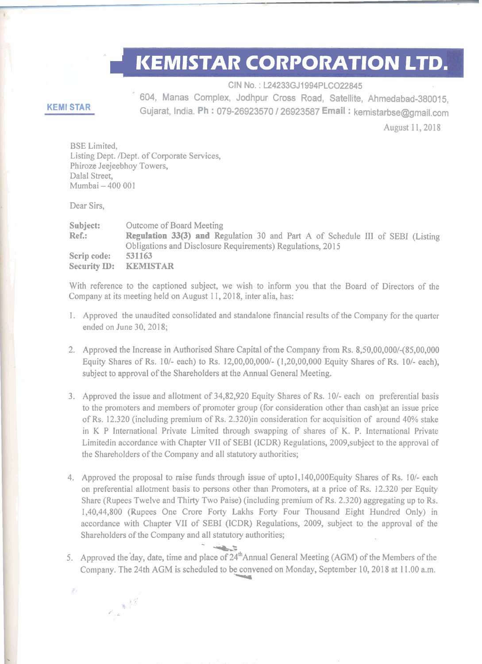## **KEMISTAR CORPORATION LTD.**

CIN No. : L24233GJ1994PLC022845

604, Manas Complex, Jodhpur Cross Road, Satellite, Ahmedabad-380015, Gujarat, India. **Ph** : 079-26923570 1 26923587 **Email** : kemistarbse@gmail.com

## **KEMl STAR**

August 11, 2018

BSE Limited, Listing Dept. /Dept. of Corporate Services, Phiroze Jeejeebhoy Towers, Dalal Street, Mumbai - 400 001

Dear Sirs,

b

 $\sim 15$ 

**Subject:** Outcome of Board Meeting **Ref.: Regulation 33(3) and** Regulation 30 and Part A of Schedule I11 of SEBI (Listing Obligations and Disclosure Requirements) Regulations, 20 15 **Scrip code: 531163 Security ID: KEMISTAR** 

With reference to the captioned subject, we wish to inform you that the Board of Directors of the Company at its meeting held on August 11, 2018, inter alia, has:

- 1. Approved the unaudited consolidated and standalone financial results of the Company for the quarter ended on June 30, 2018;
- 2. Approved the Increase in Authorised Share Capital of the Company from Rs. 8,50,00,000/-(85,00,000 Equity Shares of Rs.  $10/-$  each) to Rs.  $12,00,00,000/ (1,20,00,000)$  Equity Shares of Rs.  $10/-$  each), subject to approval of the Shareholders at the Annual General Meeting.
- 3. Approved the issue and allotment of 34,82,920 Equity Shares of Rs. 10/- each on preferential basis to the promoters and members of promoter group (for consideration other than cash)at an issue price of Rs. 12.320 (including premium of Rs. 2.320)in consideration for acquisition of around 40% stake in K P International Private Limited through swapping of shares of K. P. International Private Limitedin accordance with Chapter VII of SEBI (ICDR) Regulations, 2009,subject to the approval of the Shareholders of the Company and all statutory authorities;
- 4. Approved the proposal to raise funds through issue of upto 1,140,000 Equity Shares of Rs. 10/- each on preferential allotment basis to persons other than Promoters, at a price of **Rs.** 12.320 per Equity Share (Rupees Twelve and Thirty Two Paise) (including premium of Rs. 2.320) aggregating up to Rs. 1,40,44,800 (Rupees One Crore Forty Lakhs Forty Four Thousand Eight Hundred Only) in accordance with Chapter VII of SEBI (ICDR) Regulations, 2009, subject to the approval of the Shareholders of the Company and all statutory authorities;
- 5. Approved the day, date, time and place of  $24<sup>th</sup>$ Annual General Meeting (AGM) of the Members of the Company. The 24th AGM is scheduled to be convened on Monday, September 10, 2018 at 11.00 a.m. --m

- -it&: